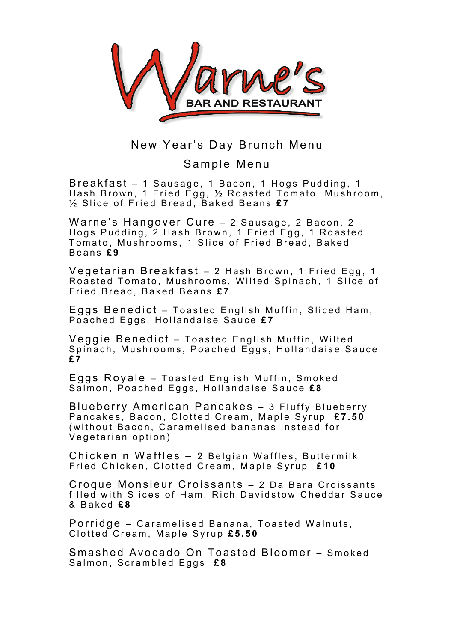

## New Year's Day Brunch Menu

## Sample Menu

Breakfast – 1 Sausage, 1 Bacon, 1 Hogs Pudding, 1 Hash Brown, 1 Fried Egg, ½ Roasted Tomato, Mushroom, ½ Slice of Fried Bread, Baked Beans **£ 7**

Warne's Hangover Cure – 2 Sausage, 2 Bacon, 2 Hogs Pudding, 2 Hash Brown , 1 F ried Egg, 1 Roasted Tomato, Mushrooms, 1 Slice of Fried Bread, Baked Beans **£ 9**

Vegetarian Breakfast – 2 Hash Brown, 1 Fried Egg, 1 Roasted Tomato, Mushrooms, Wilted Spinach, 1 Slice of Fried Bread, Baked Beans £7

Eggs Benedict - Toasted English Muffin, Sliced Ham, Poached Eggs, Hollandaise Sauce **£ 7**

Veggie Benedict – Toasted English Muffin, Wilted Spinach, Mushrooms, Poached Eggs, Hollandaise Sauce **£ 7**

Eggs Royale – Toasted English Muffin, Smoked Salmon, Poached Eggs, Hollandaise Sauce **£ 8**

Blueberry American Pancakes – 3 Fluffy Blueberry Pancakes, Bacon, Clotted Cream, Maple Syrup **£ 7.50** (without Bacon, Caramelised bananas instead for Vegetarian option)

Chicken n Waffles – 2 Belgian Waffles, Buttermilk Fried Chicken, Clotted Cream, Maple Syrup **£ 1 0**

Croque Monsieur Croissants – 2 Da Bara Croissants filled with Slices of Ham, Rich Davidstow Cheddar Sauce & Baked **£ 8**

Porridge – Caramelised Banana, Toasted Walnuts, Clotted Cream, Maple Syrup **£ 5.50**

Smashed Avocado On Toasted Bloomer - Smoked Salmon, Scrambled Eggs **£ 8**